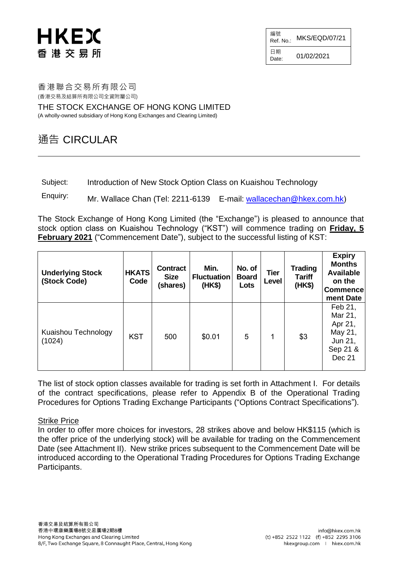## HKEX 香 港 交 易 所

編號  $R$ ef. No.: MKS/EQD/07/21 日期  $D_{\text{date}}$ : 01/02/2021

香港聯合交易所有限公司 (香港交易及結算所有限公司全資附屬公司)

THE STOCK EXCHANGE OF HONG KONG LIMITED (A wholly-owned subsidiary of Hong Kong Exchanges and Clearing Limited)

### 通告 CIRCULAR

Subject: Introduction of New Stock Option Class on Kuaishou Technology

Enquiry: Mr. Wallace Chan (Tel: 2211-6139 E-mail: [wallacechan@hkex.com.hk](mailto:wallacechan@hkex.com.hk))

The Stock Exchange of Hong Kong Limited (the "Exchange") is pleased to announce that stock option class on Kuaishou Technology ("KST") will commence trading on **Friday, 5 February 2021** ("Commencement Date"), subject to the successful listing of KST:

| <b>Underlying Stock</b><br>(Stock Code) | <b>HKATS</b><br>Code | <b>Contract</b><br><b>Size</b><br>(shares) | Min.<br><b>Fluctuation</b><br>(HK\$) | No. of<br><b>Board</b><br>Lots | <b>Tier</b><br>Level | <b>Trading</b><br><b>Tariff</b><br>(HK\$) | <b>Expiry</b><br><b>Months</b><br><b>Available</b><br>on the<br><b>Commence</b><br>ment Date |
|-----------------------------------------|----------------------|--------------------------------------------|--------------------------------------|--------------------------------|----------------------|-------------------------------------------|----------------------------------------------------------------------------------------------|
| Kuaishou Technology<br>(1024)           | <b>KST</b>           | 500                                        | \$0.01                               | 5                              | 1                    | \$3                                       | Feb 21,<br>Mar 21,<br>Apr 21,<br>May 21,<br>Jun 21,<br>Sep 21 &<br>Dec 21                    |

The list of stock option classes available for trading is set forth in Attachment I. For details of the contract specifications, please refer to Appendix B of the Operational Trading Procedures for Options Trading Exchange Participants ("Options Contract Specifications").

#### Strike Price

In order to offer more choices for investors, 28 strikes above and below HK\$115 (which is the offer price of the underlying stock) will be available for trading on the Commencement Date (see Attachment II). New strike prices subsequent to the Commencement Date will be introduced according to the Operational Trading Procedures for Options Trading Exchange Participants.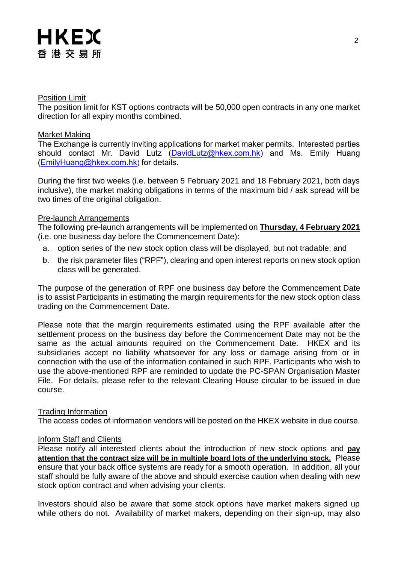#### Position Limit

The position limit for KST options contracts will be 50,000 open contracts in any one market direction for all expiry months combined.

#### Market Making

The Exchange is currently inviting applications for market maker permits. Interested parties should contact Mr. David Lutz [\(DavidLutz@hkex.com.hk\)](mailto:DavidLutz@hkex.com.hk) and Ms. Emily Huang [\(EmilyHuang@hkex.com.hk](mailto:EmilyHuang@HKEX.COM.HK)) for details.

During the first two weeks (i.e. between 5 February 2021 and 18 February 2021, both days inclusive), the market making obligations in terms of the maximum bid / ask spread will be two times of the original obligation.

#### Pre-launch Arrangements

The following pre-launch arrangements will be implemented on **Thursday, 4 February 2021** (i.e. one business day before the Commencement Date):

- a. option series of the new stock option class will be displayed, but not tradable; and
- b. the risk parameter files ("RPF"), clearing and open interest reports on new stock option class will be generated.

The purpose of the generation of RPF one business day before the Commencement Date is to assist Participants in estimating the margin requirements for the new stock option class trading on the Commencement Date.

Please note that the margin requirements estimated using the RPF available after the settlement process on the business day before the Commencement Date may not be the same as the actual amounts required on the Commencement Date. HKEX and its subsidiaries accept no liability whatsoever for any loss or damage arising from or in connection with the use of the information contained in such RPF. Participants who wish to use the above-mentioned RPF are reminded to update the PC-SPAN Organisation Master File. For details, please refer to the relevant Clearing House circular to be issued in due course.

#### Trading Information

The access codes of information vendors will be posted on the HKEX website in due course.

#### Inform Staff and Clients

Please notify all interested clients about the introduction of new stock options and **pay attention that the contract size will be in multiple board lots of the underlying stock.** Please ensure that your back office systems are ready for a smooth operation. In addition, all your staff should be fully aware of the above and should exercise caution when dealing with new stock option contract and when advising your clients.

Investors should also be aware that some stock options have market makers signed up while others do not. Availability of market makers, depending on their sign-up, may also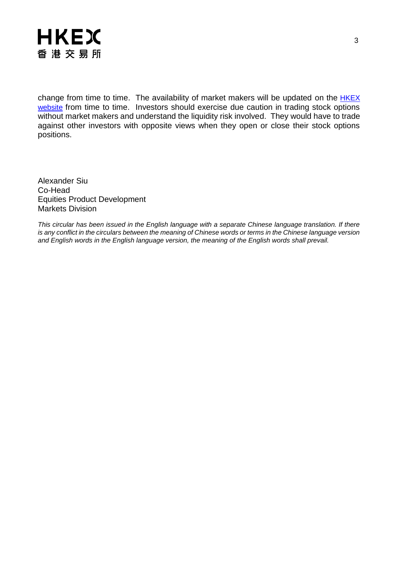

change from time to time. The availability of market makers will be updated on the **HKEX** [website](http://www.hkex.com.hk/Products/Listed-Derivatives/Single-Stock/Stock-Options?sc_lang=en) from time to time. Investors should exercise due caution in trading stock options without market makers and understand the liquidity risk involved. They would have to trade against other investors with opposite views when they open or close their stock options positions.

Alexander Siu Co-Head Equities Product Development Markets Division

*This circular has been issued in the English language with a separate Chinese language translation. If there is any conflict in the circulars between the meaning of Chinese words or terms in the Chinese language version and English words in the English language version, the meaning of the English words shall prevail.*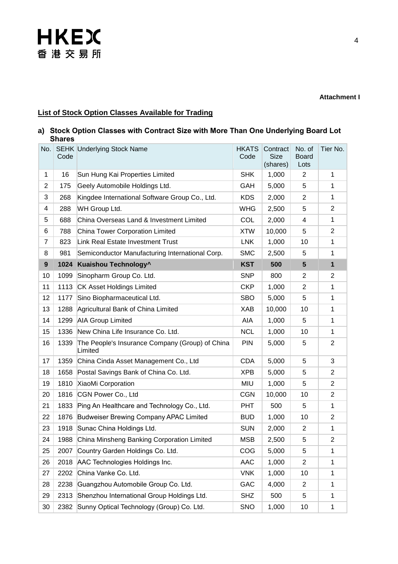#### **Attachment I**

### **List of Stock Option Classes Available for Trading**

#### **a) Stock Option Classes with Contract Size with More Than One Underlying Board Lot Shares**

| No.            | Code | <b>SEHK Underlying Stock Name</b>                          | <b>HKATS</b><br>Code | Contract<br><b>Size</b><br>(shares) | No. of<br><b>Board</b><br>Lots | Tier No.       |
|----------------|------|------------------------------------------------------------|----------------------|-------------------------------------|--------------------------------|----------------|
| $\mathbf 1$    | 16   | Sun Hung Kai Properties Limited                            | <b>SHK</b>           | 1,000                               | $\overline{2}$                 | $\mathbf{1}$   |
| $\overline{2}$ | 175  | Geely Automobile Holdings Ltd.                             | <b>GAH</b>           | 5,000                               | 5                              | $\mathbf{1}$   |
| 3              | 268  | Kingdee International Software Group Co., Ltd.             | <b>KDS</b>           | 2,000                               | $\overline{2}$                 | $\mathbf{1}$   |
| 4              | 288  | WH Group Ltd.                                              | <b>WHG</b>           | 2,500                               | 5                              | $\overline{2}$ |
| 5              | 688  | China Overseas Land & Investment Limited                   | COL                  | 2,000                               | 4                              | $\mathbf{1}$   |
| 6              | 788  | China Tower Corporation Limited                            | <b>XTW</b>           | 10,000                              | 5                              | $\overline{c}$ |
| $\overline{7}$ | 823  | Link Real Estate Investment Trust                          | <b>LNK</b>           | 1,000                               | 10                             | $\mathbf{1}$   |
| 8              | 981  | Semiconductor Manufacturing International Corp.            | <b>SMC</b>           | 2,500                               | 5                              | $\mathbf{1}$   |
| 9              | 1024 | Kuaishou Technology <sup>^</sup>                           | <b>KST</b>           | 500                                 | $5\phantom{1}$                 | $\mathbf{1}$   |
| 10             | 1099 | Sinopharm Group Co. Ltd.                                   | <b>SNP</b>           | 800                                 | $\overline{2}$                 | $\overline{2}$ |
| 11             | 1113 | CK Asset Holdings Limited                                  | <b>CKP</b>           | 1,000                               | $\overline{2}$                 | $\mathbf{1}$   |
| 12             | 1177 | Sino Biopharmaceutical Ltd.                                | <b>SBO</b>           | 5,000                               | 5                              | $\mathbf{1}$   |
| 13             | 1288 | Agricultural Bank of China Limited                         | <b>XAB</b>           | 10,000                              | 10                             | $\mathbf{1}$   |
| 14             | 1299 | <b>AIA Group Limited</b>                                   | AIA                  | 1,000                               | 5                              | $\mathbf{1}$   |
| 15             | 1336 | New China Life Insurance Co. Ltd.                          | <b>NCL</b>           | 1,000                               | 10                             | $\mathbf{1}$   |
| 16             | 1339 | The People's Insurance Company (Group) of China<br>Limited | <b>PIN</b>           | 5,000                               | 5                              | $\overline{2}$ |
| 17             | 1359 | China Cinda Asset Management Co., Ltd                      | <b>CDA</b>           | 5,000                               | 5                              | 3              |
| 18             | 1658 | Postal Savings Bank of China Co. Ltd.                      | <b>XPB</b>           | 5,000                               | 5                              | $\overline{2}$ |
| 19             | 1810 | XiaoMi Corporation                                         | MIU                  | 1,000                               | 5                              | $\overline{2}$ |
| 20             | 1816 | CGN Power Co., Ltd                                         | <b>CGN</b>           | 10,000                              | 10                             | $\overline{2}$ |
| 21             | 1833 | Ping An Healthcare and Technology Co., Ltd.                | <b>PHT</b>           | 500                                 | 5                              | $\mathbf{1}$   |
| 22             | 1876 | Budweiser Brewing Company APAC Limited                     | <b>BUD</b>           | 1,000                               | 10                             | $\overline{2}$ |
| 23             | 1918 | Sunac China Holdings Ltd.                                  | <b>SUN</b>           | 2,000                               | $\overline{2}$                 | $\mathbf{1}$   |
| 24             |      | 1988 China Minsheng Banking Corporation Limited            | <b>MSB</b>           | 2,500                               | 5                              | $\overline{c}$ |
| 25             | 2007 | Country Garden Holdings Co. Ltd.                           | COG                  | 5,000                               | 5                              | 1              |
| 26             | 2018 | AAC Technologies Holdings Inc.                             | AAC                  | 1,000                               | $\overline{2}$                 | 1              |
| 27             | 2202 | China Vanke Co. Ltd.                                       | <b>VNK</b>           | 1,000                               | 10                             | 1              |
| 28             | 2238 | Guangzhou Automobile Group Co. Ltd.                        | <b>GAC</b>           | 4,000                               | $\overline{2}$                 | $\mathbf 1$    |
| 29             | 2313 | Shenzhou International Group Holdings Ltd.                 | <b>SHZ</b>           | 500                                 | 5                              | $\mathbf{1}$   |
| 30             | 2382 | Sunny Optical Technology (Group) Co. Ltd.                  | SNO                  | 1,000                               | 10                             | $\mathbf{1}$   |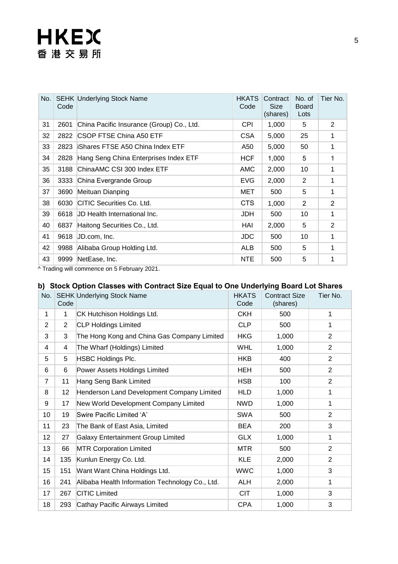| No. | Code | <b>SEHK Underlying Stock Name</b>         | <b>HKATS</b><br>Code | Contract<br><b>Size</b><br>(shares) | No. of<br><b>Board</b><br>Lots | Tier No.       |
|-----|------|-------------------------------------------|----------------------|-------------------------------------|--------------------------------|----------------|
| 31  | 2601 | China Pacific Insurance (Group) Co., Ltd. | CPI.                 | 1,000                               | 5                              | 2              |
| 32  |      | 2822 CSOP FTSE China A50 ETF              | <b>CSA</b>           | 5,000                               | 25                             | 1              |
| 33  | 2823 | <b>Shares FTSE A50 China Index ETF</b>    | A50                  | 5,000                               | 50                             | 1              |
| 34  | 2828 | Hang Seng China Enterprises Index ETF     | <b>HCF</b>           | 1,000                               | 5                              | 1              |
| 35  | 3188 | ChinaAMC CSI 300 Index ETF                | AMC                  | 2,000                               | 10                             | 1              |
| 36  | 3333 | China Evergrande Group                    | <b>EVG</b>           | 2,000                               | 2                              | 1              |
| 37  | 3690 | Meituan Dianping                          | MET                  | 500                                 | 5                              | 1              |
| 38  | 6030 | CITIC Securities Co. Ltd.                 | <b>CTS</b>           | 1,000                               | $\overline{2}$                 | $\overline{2}$ |
| 39  |      | 6618 UD Health International Inc.         | JDH.                 | 500                                 | 10                             | 1              |
| 40  | 6837 | Haitong Securities Co., Ltd.              | HAI                  | 2,000                               | 5                              | $\overline{2}$ |
| 41  | 9618 | JD.com, Inc.                              | <b>JDC</b>           | 500                                 | 10                             | 1              |
| 42  | 9988 | Alibaba Group Holding Ltd.                | ALB.                 | 500                                 | 5                              | 1              |
| 43  | 9999 | NetEase, Inc.                             | <b>NTE</b>           | 500                                 | 5                              | 1              |

^ Trading will commence on 5 February 2021.

### **b) Stock Option Classes with Contract Size Equal to One Underlying Board Lot Shares**

| No.            | Code           | <b>SEHK Underlying Stock Name</b>               | <b>HKATS</b><br>Code | <b>Contract Size</b><br>(shares) | Tier No.       |
|----------------|----------------|-------------------------------------------------|----------------------|----------------------------------|----------------|
| 1              | 1              | CK Hutchison Holdings Ltd.                      | <b>CKH</b>           | 500                              | 1              |
| $\overline{2}$ | $\overline{2}$ | <b>CLP Holdings Limited</b>                     | <b>CLP</b>           | 500                              | 1              |
| 3              | 3              | The Hong Kong and China Gas Company Limited     | <b>HKG</b>           | 1,000                            | $\overline{2}$ |
| 4              | 4              | The Wharf (Holdings) Limited                    | <b>WHL</b>           | 1,000                            | $\overline{2}$ |
| 5              | 5              | <b>HSBC Holdings Plc.</b>                       | <b>HKB</b>           | 400                              | $\overline{2}$ |
| 6              | 6              | Power Assets Holdings Limited                   | HEH                  | 500                              | $\overline{2}$ |
| $\overline{7}$ | 11             | Hang Seng Bank Limited                          | <b>HSB</b>           | 100                              | $\overline{2}$ |
| 8              | 12             | Henderson Land Development Company Limited      | <b>HLD</b>           | 1,000                            | 1              |
| 9              | 17             | New World Development Company Limited           | <b>NWD</b>           | 1,000                            | 1              |
| 10             | 19             | Swire Pacific Limited 'A'                       | <b>SWA</b>           | 500                              | 2              |
| 11             | 23             | The Bank of East Asia, Limited                  | <b>BEA</b>           | 200                              | 3              |
| 12             | 27             | <b>Galaxy Entertainment Group Limited</b>       | <b>GLX</b>           | 1,000                            | 1              |
| 13             | 66             | <b>MTR Corporation Limited</b>                  | <b>MTR</b>           | 500                              | $\overline{2}$ |
| 14             | 135            | Kunlun Energy Co. Ltd.                          | <b>KLE</b>           | 2,000                            | $\overline{2}$ |
| 15             | 151            | Want Want China Holdings Ltd.                   | <b>WWC</b>           | 1,000                            | 3              |
| 16             | 241            | Alibaba Health Information Technology Co., Ltd. | <b>ALH</b>           | 2,000                            | 1              |
| 17             | 267            | <b>CITIC Limited</b>                            | <b>CIT</b>           | 1,000                            | 3              |
| 18             | 293            | Cathay Pacific Airways Limited                  | <b>CPA</b>           | 1,000                            | 3              |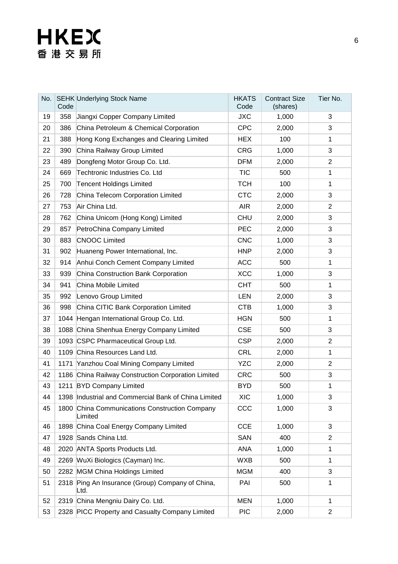| No. | Code | <b>SEHK Underlying Stock Name</b>                         | <b>HKATS</b><br>Code | <b>Contract Size</b><br>(shares) | Tier No.       |
|-----|------|-----------------------------------------------------------|----------------------|----------------------------------|----------------|
| 19  | 358  | Jiangxi Copper Company Limited                            | <b>JXC</b>           | 1,000                            | 3              |
| 20  | 386  | China Petroleum & Chemical Corporation                    | <b>CPC</b>           | 2,000                            | 3              |
| 21  | 388  | Hong Kong Exchanges and Clearing Limited                  | <b>HEX</b>           | 100                              | 1              |
| 22  | 390  | China Railway Group Limited                               | <b>CRG</b>           | 1,000                            | 3              |
| 23  | 489  | Dongfeng Motor Group Co. Ltd.                             | <b>DFM</b>           | 2,000                            | $\overline{2}$ |
| 24  | 669  | Techtronic Industries Co. Ltd                             | <b>TIC</b>           | 500                              | $\mathbf 1$    |
| 25  | 700  | <b>Tencent Holdings Limited</b>                           | <b>TCH</b>           | 100                              | 1              |
| 26  | 728  | China Telecom Corporation Limited                         | <b>CTC</b>           | 2,000                            | 3              |
| 27  | 753  | Air China Ltd.                                            | <b>AIR</b>           | 2,000                            | $\overline{2}$ |
| 28  | 762  | China Unicom (Hong Kong) Limited                          | <b>CHU</b>           | 2,000                            | 3              |
| 29  | 857  | PetroChina Company Limited                                | <b>PEC</b>           | 2,000                            | 3              |
| 30  | 883  | <b>CNOOC Limited</b>                                      | <b>CNC</b>           | 1,000                            | 3              |
| 31  | 902  | Huaneng Power International, Inc.                         | <b>HNP</b>           | 2,000                            | 3              |
| 32  | 914  | Anhui Conch Cement Company Limited                        | <b>ACC</b>           | 500                              | 1              |
| 33  | 939  | China Construction Bank Corporation                       | <b>XCC</b>           | 1,000                            | 3              |
| 34  | 941  | China Mobile Limited                                      | <b>CHT</b>           | 500                              | 1              |
| 35  | 992  | Lenovo Group Limited                                      | <b>LEN</b>           | 2,000                            | 3              |
| 36  | 998  | China CITIC Bank Corporation Limited                      | <b>CTB</b>           | 1,000                            | 3              |
| 37  |      | 1044 Hengan International Group Co. Ltd.                  | <b>HGN</b>           | 500                              | 1              |
| 38  |      | 1088 China Shenhua Energy Company Limited                 | <b>CSE</b>           | 500                              | 3              |
| 39  |      | 1093 CSPC Pharmaceutical Group Ltd.                       | <b>CSP</b>           | 2,000                            | $\overline{c}$ |
| 40  |      | 1109 China Resources Land Ltd.                            | <b>CRL</b>           | 2,000                            | 1              |
| 41  | 1171 | Yanzhou Coal Mining Company Limited                       | <b>YZC</b>           | 2,000                            | $\overline{c}$ |
| 42  |      | 1186 China Railway Construction Corporation Limited       | <b>CRC</b>           | 500                              | 3              |
| 43  |      | 1211 BYD Company Limited                                  | <b>BYD</b>           | 500                              | $\mathbf{1}$   |
| 44  |      | 1398 Industrial and Commercial Bank of China Limited      | <b>XIC</b>           | 1,000                            | 3              |
| 45  |      | 1800 China Communications Construction Company<br>Limited | CCC                  | 1,000                            | 3              |
| 46  |      | 1898 China Coal Energy Company Limited                    | <b>CCE</b>           | 1,000                            | 3              |
| 47  |      | 1928 Sands China Ltd.                                     | <b>SAN</b>           | 400                              | 2              |
| 48  |      | 2020 ANTA Sports Products Ltd.                            | <b>ANA</b>           | 1,000                            | 1              |
| 49  |      | 2269 WuXi Biologics (Cayman) Inc.                         | <b>WXB</b>           | 500                              | 1              |
| 50  |      | 2282 MGM China Holdings Limited                           | <b>MGM</b>           | 400                              | 3              |
| 51  | 2318 | Ping An Insurance (Group) Company of China,<br>Ltd.       | PAI                  | 500                              | 1              |
| 52  |      | 2319 China Mengniu Dairy Co. Ltd.                         | <b>MEN</b>           | 1,000                            | 1              |
| 53  |      | 2328 PICC Property and Casualty Company Limited           | <b>PIC</b>           | 2,000                            | $\overline{c}$ |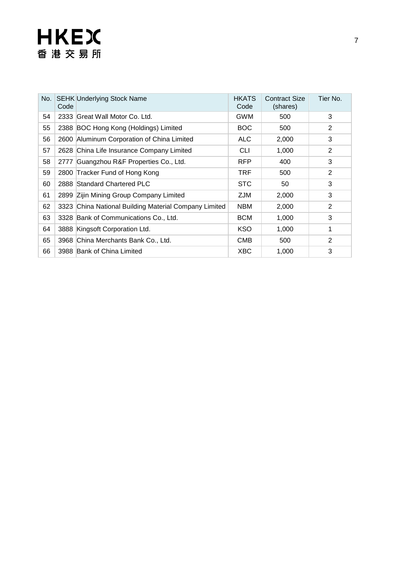| No. | Code | <b>SEHK Underlying Stock Name</b>                     | <b>HKATS</b><br>Code | <b>Contract Size</b><br>(shares) | Tier No.       |
|-----|------|-------------------------------------------------------|----------------------|----------------------------------|----------------|
| 54  |      | 2333 Great Wall Motor Co. Ltd.                        | <b>GWM</b>           | 500                              | 3              |
| 55  |      | 2388 BOC Hong Kong (Holdings) Limited                 | <b>BOC</b>           | 500                              | $\overline{2}$ |
| 56  | 2600 | Aluminum Corporation of China Limited                 | ALC                  | 2,000                            | 3              |
| 57  |      | 2628 China Life Insurance Company Limited             | <b>CLI</b>           | 1,000                            | $\overline{2}$ |
| 58  | 2777 | Guangzhou R&F Properties Co., Ltd.                    | <b>RFP</b>           | 400                              | 3              |
| 59  |      | 2800 Tracker Fund of Hong Kong                        | <b>TRF</b>           | 500                              | 2              |
| 60  |      | 2888 Standard Chartered PLC                           | <b>STC</b>           | 50                               | 3              |
| 61  |      | 2899 Zijin Mining Group Company Limited               | <b>ZJM</b>           | 2,000                            | 3              |
| 62  |      | 3323 China National Building Material Company Limited | <b>NBM</b>           | 2,000                            | $\overline{2}$ |
| 63  |      | 3328 Bank of Communications Co., Ltd.                 | <b>BCM</b>           | 1,000                            | 3              |
| 64  |      | 3888 Kingsoft Corporation Ltd.                        | <b>KSO</b>           | 1,000                            | 1              |
| 65  |      | 3968 China Merchants Bank Co., Ltd.                   | <b>CMB</b>           | 500                              | 2              |
| 66  |      | 3988 Bank of China Limited                            | <b>XBC</b>           | 1,000                            | 3              |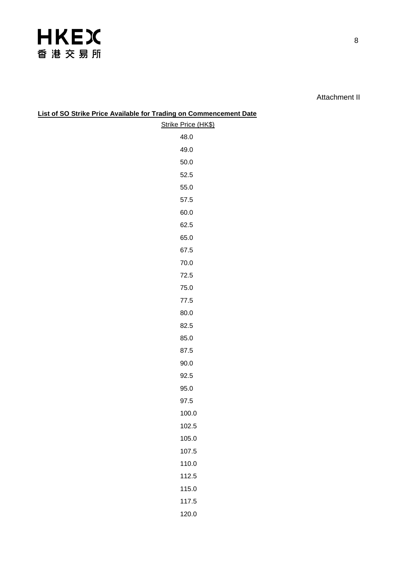Attachment II

| List of SO Strike Price Available for Trading on Commencement Date |                     |
|--------------------------------------------------------------------|---------------------|
|                                                                    | Strike Price (HK\$) |
|                                                                    | 48.0                |
|                                                                    | 49.0                |
|                                                                    | 50.0                |
|                                                                    | 52.5                |
|                                                                    | 55.0                |
|                                                                    | 57.5                |
|                                                                    | 60.0                |
|                                                                    | 62.5                |
|                                                                    | 65.0                |
|                                                                    | 67.5                |
|                                                                    | 70.0                |
|                                                                    | 72.5                |
|                                                                    | 75.0                |
|                                                                    | 77.5                |
|                                                                    | 80.0                |
|                                                                    | 82.5                |
|                                                                    | 85.0                |
|                                                                    | 87.5                |
|                                                                    | 90.0                |
|                                                                    | 92.5                |
|                                                                    | 95.0                |
|                                                                    | 97.5                |
|                                                                    | 100.0               |
|                                                                    | 102.5               |
|                                                                    | 105.0               |
|                                                                    | 107.5               |
|                                                                    | 110.0               |
|                                                                    | 112.5               |
|                                                                    | 115.0               |
|                                                                    | 117.5               |
|                                                                    | 120.0               |